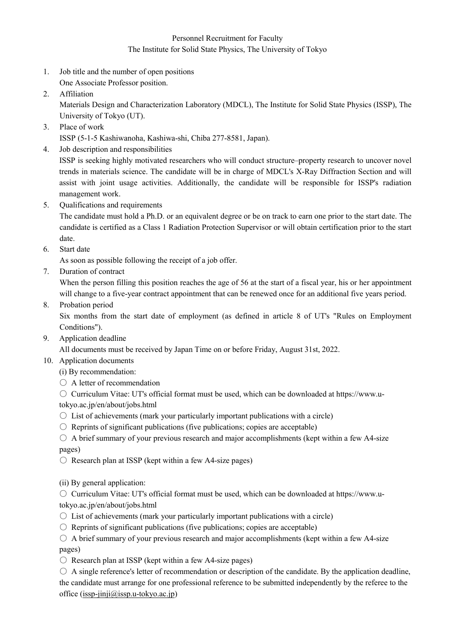## Personnel Recruitment for Faculty The Institute for Solid State Physics, The University of Tokyo

- 1. Job title and the number of open positions One Associate Professor position.
- 2. Affiliation

Materials Design and Characterization Laboratory (MDCL), The Institute for Solid State Physics (ISSP), The University of Tokyo (UT).

3. Place of work

ISSP (5-1-5 Kashiwanoha, Kashiwa-shi, Chiba 277-8581, Japan).

4. Job description and responsibilities

ISSP is seeking highly motivated researchers who will conduct structure–property research to uncover novel trends in materials science. The candidate will be in charge of MDCL's X-Ray Diffraction Section and will assist with joint usage activities. Additionally, the candidate will be responsible for ISSP's radiation management work.

5. Qualifications and requirements

The candidate must hold a Ph.D. or an equivalent degree or be on track to earn one prior to the start date. The candidate is certified as a Class 1 Radiation Protection Supervisor or will obtain certification prior to the start date.

6. Start date

As soon as possible following the receipt of a job offer.

7. Duration of contract

When the person filling this position reaches the age of 56 at the start of a fiscal year, his or her appointment will change to a five-year contract appointment that can be renewed once for an additional five years period.

8. Probation period

Six months from the start date of employment (as defined in article 8 of UT's "Rules on Employment Conditions").

9. Application deadline

All documents must be received by Japan Time on or before Friday, August 31st, 2022.

- 10. Application documents
	- (i) By recommendation:
	- A letter of recommendation

○ Curriculum Vitae: UT's official format must be used, which can be downloaded at https://www.utokyo.ac.jp/en/about/jobs.html

- $\circ$  List of achievements (mark your particularly important publications with a circle)
- $\circ$  Reprints of significant publications (five publications; copies are acceptable)
- $\circ$  A brief summary of your previous research and major accomplishments (kept within a few A4-size pages)
- $\circ$  Research plan at ISSP (kept within a few A4-size pages)
- (ii) By general application:

○ Curriculum Vitae: UT's official format must be used, which can be downloaded at https://www.utokyo.ac.jp/en/about/jobs.html

- $\circ$  List of achievements (mark your particularly important publications with a circle)
- $\circ$  Reprints of significant publications (five publications; copies are acceptable)
- $\circ$  A brief summary of your previous research and major accomplishments (kept within a few A4-size pages)
- $\circ$  Research plan at ISSP (kept within a few A4-size pages)
- $\circ$  A single reference's letter of recommendation or description of the candidate. By the application deadline, the candidate must arrange for one professional reference to be submitted independently by the referee to the office [\(issp-jinji@issp.u-tokyo.ac.jp\)](mailto:issp-jinji@issp.u-tokyo.ac.jp)